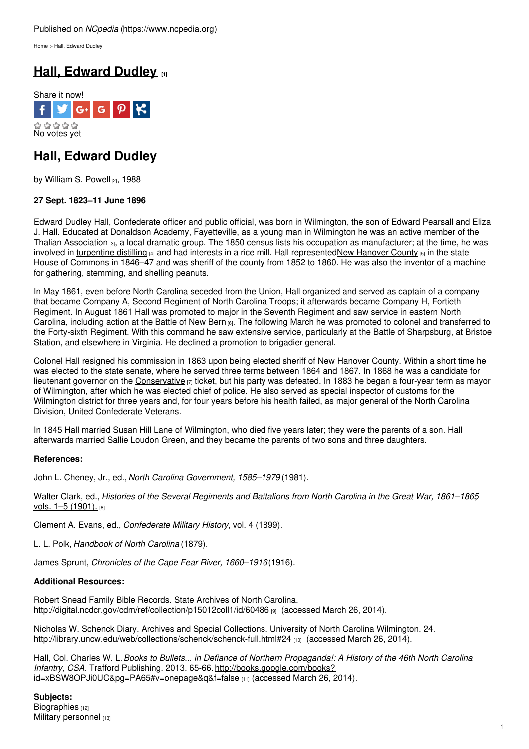[Home](https://www.ncpedia.org/) > Hall, Edward Dudley

# **Hall, [Edward](https://www.ncpedia.org/biography/hall-edward-dudley) Dudley [1]**



## **Hall, Edward Dudley**

by [William](https://www.ncpedia.org/biography/powell-william) S. Powell [2], 1988

### **27 Sept. 1823–11 June 1896**

Edward Dudley Hall, Confederate officer and public official, was born in Wilmington, the son of Edward Pearsall and Eliza J. Hall. Educated at Donaldson Academy, [Fayetteville,](http://www.social9.com) as a young man in Wilmington he was an active member of the Thalian [Association](https://www.ncpedia.org/symbols/communitytheater) [3], a local dramatic group. The 1850 census lists his occupation as manufacturer; at the time, he was involved in [turpentine](https://www.ncpedia.org/naval-stores) distilling  $[4]$  and had interests in a rice mill. Hall representedNew [Hanover](https://www.ncpedia.org/geography/new-hanover) County  $[5]$  in the state House of Commons in 1846–47 and was sheriff of the county from 1852 to 1860. He was also the inventor of a machine for gathering, stemming, and shelling peanuts.

In May 1861, even before North Carolina seceded from the Union, Hall organized and served as captain of a company that became Company A, Second Regiment of North Carolina Troops; it afterwards became Company H, Fortieth Regiment. In August 1861 Hall was promoted to major in the Seventh Regiment and saw service in eastern North Carolina, including action at the [Battle](https://www.ncpedia.org/new-bern-battle) of New Bern [6]. The following March he was promoted to colonel and transferred to the Forty-sixth Regiment. With this command he saw extensive service, particularly at the Battle of Sharpsburg, at Bristoe Station, and elsewhere in Virginia. He declined a promotion to brigadier general.

Colonel Hall resigned his commission in 1863 upon being elected sheriff of New Hanover County. Within a short time he was elected to the state senate, where he served three terms between 1864 and 1867. In 1868 he was a candidate for lieutenant governor on the [Conservative](https://www.ncpedia.org/conservative-party)  $[7]$  ticket, but his party was defeated. In 1883 he began a four-year term as mayor of Wilmington, after which he was elected chief of police. He also served as special inspector of customs for the Wilmington district for three years and, for four years before his health failed, as major general of the North Carolina Division, United Confederate Veterans.

In 1845 Hall married Susan Hill Lane of Wilmington, who died five years later; they were the parents of a son. Hall afterwards married Sallie Loudon Green, and they became the parents of two sons and three daughters.

#### **References:**

John L. Cheney, Jr., ed., *North Carolina Government, 1585–1979* (1981).

Walter Clark, ed., *Histories of the Several Regiments and Battalions from North Carolina in the Great War, [1861–1865](http://digital.ncdcr.gov/cdm/ref/collection/p249901coll22/id/266521)*, vols. 1-5 (1901). [8]

Clement A. Evans, ed., *Confederate Military History*, vol. 4 (1899).

L. L. Polk, *Handbook of North Carolina* (1879).

James Sprunt, *Chronicles of the Cape Fear River, 1660–1916*(1916).

#### **Additional Resources:**

Robert Snead Family Bible Records. State Archives of North Carolina. <http://digital.ncdcr.gov/cdm/ref/collection/p15012coll1/id/60486> [9] (accessed March 26, 2014).

Nicholas W. Schenck Diary. Archives and Special Collections. University of North Carolina Wilmington. 24. <http://library.uncw.edu/web/collections/schenck/schenck-full.html#24> [10] (accessed March 26, 2014).

Hall, Col. Charles W. L.*Books to Bullets... in Defiance of Northern Propaganda!: A History of the 46th North Carolina Infantry, CSA.* Trafford Publishing. 2013. 65-66. http://books.google.com/books? [id=xBSW8OPJi0UC&pg=PA65#v=onepage&q&f=false](http://books.google.com/books?id=xBSW8OPJi0UC&pg=PA65#v=onepage&q&f=false) [11] (accessed March 26, 2014).

**Subjects:** [Biographies](https://www.ncpedia.org/category/subjects/biography-term) [12] Military [personnel](https://www.ncpedia.org/category/subjects/soldiers) [13]